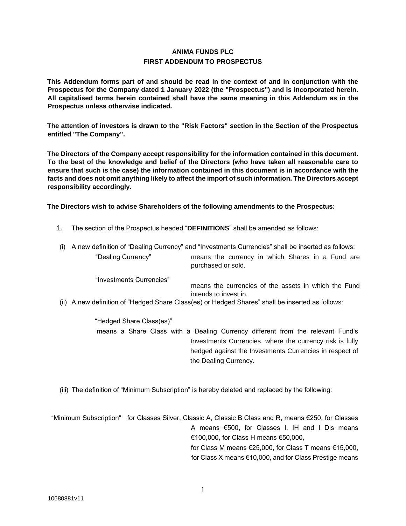# **ANIMA FUNDS PLC FIRST ADDENDUM TO PROSPECTUS**

**This Addendum forms part of and should be read in the context of and in conjunction with the Prospectus for the Company dated 1 January 2022 (the "Prospectus") and is incorporated herein. All capitalised terms herein contained shall have the same meaning in this Addendum as in the Prospectus unless otherwise indicated.** 

**The attention of investors is drawn to the "Risk Factors" section in the Section of the Prospectus entitled "The Company".** 

**The Directors of the Company accept responsibility for the information contained in this document. To the best of the knowledge and belief of the Directors (who have taken all reasonable care to ensure that such is the case) the information contained in this document is in accordance with the facts and does not omit anything likely to affect the import of such information. The Directors accept responsibility accordingly.** 

**The Directors wish to advise Shareholders of the following amendments to the Prospectus:** 

- 1. The section of the Prospectus headed "**DEFINITIONS**" shall be amended as follows:
- (i) A new definition of "Dealing Currency" and "Investments Currencies" shall be inserted as follows: "Dealing Currency" means the currency in which Shares in a Fund are purchased or sold.

"Investments Currencies"

means the currencies of the assets in which the Fund intends to invest in.

(ii) A new definition of "Hedged Share Class(es) or Hedged Shares" shall be inserted as follows:

"Hedged Share Class(es)" means a Share Class with a Dealing Currency different from the relevant Fund's Investments Currencies, where the currency risk is fully hedged against the Investments Currencies in respect of the Dealing Currency.

(iii) The definition of "Minimum Subscription" is hereby deleted and replaced by the following:

 "Minimum Subscription" for Classes Silver, Classic A, Classic B Class and R, means €250, for Classes A means €500, for Classes I, IH and I Dis means €100,000, for Class H means €50,000, for Class M means €25,000, for Class T means €15,000, for Class X means €10,000, and for Class Prestige means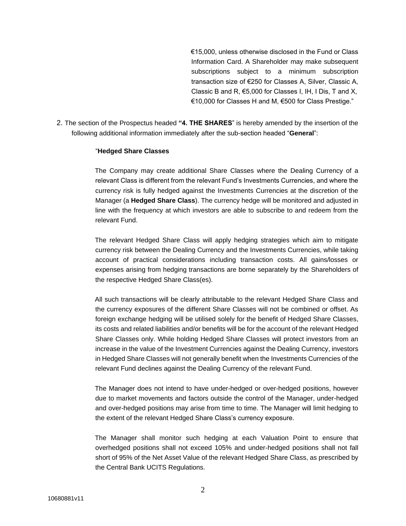€15,000, unless otherwise disclosed in the Fund or Class Information Card. A Shareholder may make subsequent subscriptions subject to a minimum subscription transaction size of €250 for Classes A, Silver, Classic A, Classic B and R, €5,000 for Classes I, IH, I Dis, T and X, €10,000 for Classes H and M, €500 for Class Prestige."

2. The section of the Prospectus headed **"4. THE SHARES**" is hereby amended by the insertion of the following additional information immediately after the sub-section headed "**General**":

## "**Hedged Share Classes**

The Company may create additional Share Classes where the Dealing Currency of a relevant Class is different from the relevant Fund's Investments Currencies, and where the currency risk is fully hedged against the Investments Currencies at the discretion of the Manager (a **Hedged Share Class**). The currency hedge will be monitored and adjusted in line with the frequency at which investors are able to subscribe to and redeem from the relevant Fund.

The relevant Hedged Share Class will apply hedging strategies which aim to mitigate currency risk between the Dealing Currency and the Investments Currencies, while taking account of practical considerations including transaction costs. All gains/losses or expenses arising from hedging transactions are borne separately by the Shareholders of the respective Hedged Share Class(es).

All such transactions will be clearly attributable to the relevant Hedged Share Class and the currency exposures of the different Share Classes will not be combined or offset. As foreign exchange hedging will be utilised solely for the benefit of Hedged Share Classes, its costs and related liabilities and/or benefits will be for the account of the relevant Hedged Share Classes only. While holding Hedged Share Classes will protect investors from an increase in the value of the Investment Currencies against the Dealing Currency, investors in Hedged Share Classes will not generally benefit when the Investments Currencies of the relevant Fund declines against the Dealing Currency of the relevant Fund.

The Manager does not intend to have under-hedged or over-hedged positions, however due to market movements and factors outside the control of the Manager, under-hedged and over-hedged positions may arise from time to time. The Manager will limit hedging to the extent of the relevant Hedged Share Class's currency exposure.

The Manager shall monitor such hedging at each Valuation Point to ensure that overhedged positions shall not exceed 105% and under-hedged positions shall not fall short of 95% of the Net Asset Value of the relevant Hedged Share Class, as prescribed by the Central Bank UCITS Regulations.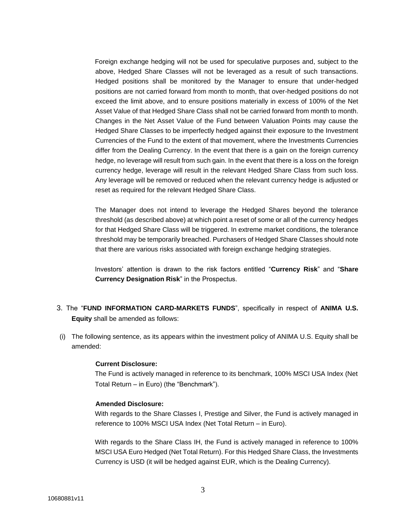Foreign exchange hedging will not be used for speculative purposes and, subject to the above, Hedged Share Classes will not be leveraged as a result of such transactions. Hedged positions shall be monitored by the Manager to ensure that under-hedged positions are not carried forward from month to month, that over-hedged positions do not exceed the limit above, and to ensure positions materially in excess of 100% of the Net Asset Value of that Hedged Share Class shall not be carried forward from month to month. Changes in the Net Asset Value of the Fund between Valuation Points may cause the Hedged Share Classes to be imperfectly hedged against their exposure to the Investment Currencies of the Fund to the extent of that movement, where the Investments Currencies differ from the Dealing Currency. In the event that there is a gain on the foreign currency hedge, no leverage will result from such gain. In the event that there is a loss on the foreign currency hedge, leverage will result in the relevant Hedged Share Class from such loss. Any leverage will be removed or reduced when the relevant currency hedge is adjusted or reset as required for the relevant Hedged Share Class.

The Manager does not intend to leverage the Hedged Shares beyond the tolerance threshold (as described above) at which point a reset of some or all of the currency hedges for that Hedged Share Class will be triggered. In extreme market conditions, the tolerance threshold may be temporarily breached. Purchasers of Hedged Share Classes should note that there are various risks associated with foreign exchange hedging strategies.

Investors' attention is drawn to the risk factors entitled "**Currency Risk**" and "**Share Currency Designation Risk**" in the Prospectus.

- 3. The "**FUND INFORMATION CARD-MARKETS FUNDS**", specifically in respect of **ANIMA U.S. Equity** shall be amended as follows:
- (i) The following sentence, as its appears within the investment policy of ANIMA U.S. Equity shall be amended:

#### **Current Disclosure:**

The Fund is actively managed in reference to its benchmark, 100% MSCI USA Index (Net Total Return – in Euro) (the "Benchmark").

#### **Amended Disclosure:**

With regards to the Share Classes I, Prestige and Silver, the Fund is actively managed in reference to 100% MSCI USA Index (Net Total Return – in Euro).

With regards to the Share Class IH, the Fund is actively managed in reference to 100% MSCI USA Euro Hedged (Net Total Return). For this Hedged Share Class, the Investments Currency is USD (it will be hedged against EUR, which is the Dealing Currency).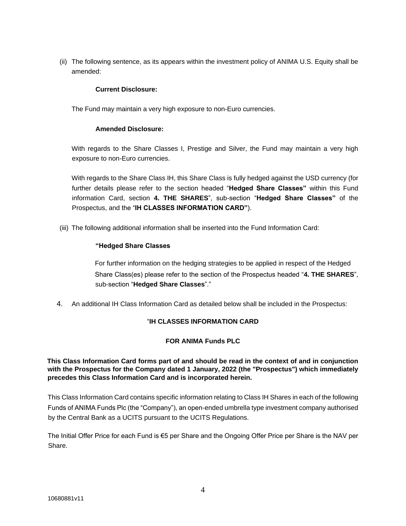(ii) The following sentence, as its appears within the investment policy of ANIMA U.S. Equity shall be amended:

## **Current Disclosure:**

The Fund may maintain a very high exposure to non-Euro currencies.

## **Amended Disclosure:**

With regards to the Share Classes I, Prestige and Silver, the Fund may maintain a very high exposure to non-Euro currencies.

With regards to the Share Class IH, this Share Class is fully hedged against the USD currency (for further details please refer to the section headed "**Hedged Share Classes"** within this Fund information Card, section **4. THE SHARES**", sub-section "**Hedged Share Classes"** of the Prospectus, and the "**IH CLASSES INFORMATION CARD"**).

(iii) The following additional information shall be inserted into the Fund Information Card:

## **"Hedged Share Classes**

For further information on the hedging strategies to be applied in respect of the Hedged Share Class(es) please refer to the section of the Prospectus headed "**4. THE SHARES**", sub-section "**Hedged Share Classes**"."

4. An additional IH Class Information Card as detailed below shall be included in the Prospectus:

## "**IH CLASSES INFORMATION CARD**

#### **FOR ANIMA Funds PLC**

## **This Class Information Card forms part of and should be read in the context of and in conjunction with the Prospectus for the Company dated 1 January, 2022 (the "Prospectus") which immediately precedes this Class Information Card and is incorporated herein.**

This Class Information Card contains specific information relating to Class IH Shares in each of the following Funds of ANIMA Funds Plc (the "Company"), an open-ended umbrella type investment company authorised by the Central Bank as a UCITS pursuant to the UCITS Regulations.

The Initial Offer Price for each Fund is €5 per Share and the Ongoing Offer Price per Share is the NAV per Share.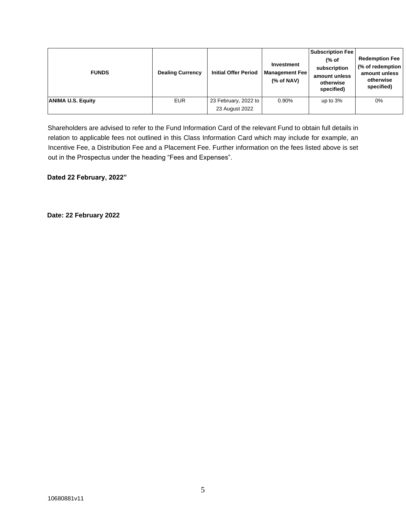| <b>FUNDS</b>             | <b>Dealing Currency</b> | <b>Initial Offer Period</b> | Investment<br><b>Management Fee</b><br>$%$ of NAV) | <b>Subscription Fee</b><br>(% of<br>subscription<br>amount unless<br>otherwise<br>specified) | <b>Redemption Fee</b><br>(% of redemption<br>amount unless<br>otherwise<br>specified) |
|--------------------------|-------------------------|-----------------------------|----------------------------------------------------|----------------------------------------------------------------------------------------------|---------------------------------------------------------------------------------------|
| <b>ANIMA U.S. Equity</b> | <b>EUR</b>              | 23 February, 2022 to        | 0.90%                                              | up to $3%$                                                                                   | 0%                                                                                    |
|                          |                         | 23 August 2022              |                                                    |                                                                                              |                                                                                       |

Shareholders are advised to refer to the Fund Information Card of the relevant Fund to obtain full details in relation to applicable fees not outlined in this Class Information Card which may include for example, an Incentive Fee, a Distribution Fee and a Placement Fee. Further information on the fees listed above is set out in the Prospectus under the heading "Fees and Expenses".

**Dated 22 February, 2022"** 

**Date: 22 February 2022**